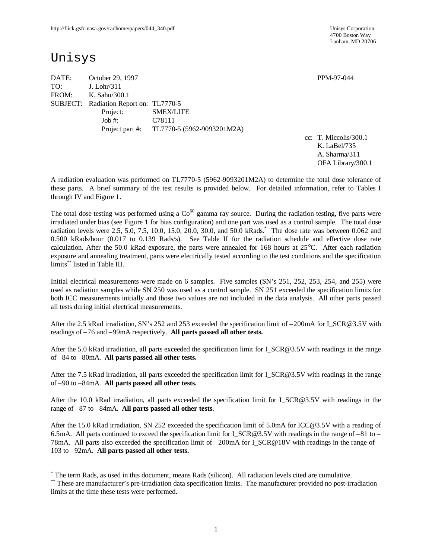4700 Boston Way Lanham, MD 20706

# Unisys

-

DATE: October 29, 1997 PPM-97-044 TO: J. Lohr/311 FROM: K. Sahu/300.1 SUBJECT: Radiation Report on: TL7770-5 Project: SMEX/LITE Job #: C78111 Project part #: TL7770-5 (5962-9093201M2A)

cc: T. Miccolis/300.1 K. LaBel/735 A. Sharma/311 OFA Library/300.1

A radiation evaluation was performed on TL7770-5 (5962-9093201M2A) to determine the total dose tolerance of these parts. A brief summary of the test results is provided below. For detailed information, refer to Tables I through IV and Figure 1.

The total dose testing was performed using a  $Co<sup>60</sup>$  gamma ray source. During the radiation testing, five parts were irradiated under bias (see Figure 1 for bias configuration) and one part was used as a control sample. The total dose radiation levels were 2.5, 5.0, 7.5, 10.0, 15.0, 20.0, 30.0, and 50.0 kRads.\* The dose rate was between 0.062 and 0.500 kRads/hour (0.017 to 0.139 Rads/s). See Table II for the radiation schedule and effective dose rate calculation. After the 50.0 kRad exposure, the parts were annealed for 168 hours at 25°C. After each radiation exposure and annealing treatment, parts were electrically tested according to the test conditions and the specification limits\*\* listed in Table III.

Initial electrical measurements were made on 6 samples. Five samples (SN's 251, 252, 253, 254, and 255) were used as radiation samples while SN 250 was used as a control sample. SN 251 exceeded the specification limits for both ICC measurements initially and those two values are not included in the data analysis. All other parts passed all tests during initial electrical measurements.

After the 2.5 kRad irradiation, SN's 252 and 253 exceeded the specification limit of –200mA for I\_SCR@3.5V with readings of –76 and –99mA respectively. **All parts passed all other tests.**

After the 5.0 kRad irradiation, all parts exceeded the specification limit for I\_SCR@3.5V with readings in the range of –84 to –80mA. **All parts passed all other tests.**

After the 7.5 kRad irradiation, all parts exceeded the specification limit for I\_SCR@3.5V with readings in the range of –90 to –84mA. **All parts passed all other tests.**

After the 10.0 kRad irradiation, all parts exceeded the specification limit for I\_SCR@3.5V with readings in the range of –87 to –84mA. **All parts passed all other tests.**

After the 15.0 kRad irradiation, SN 252 exceeded the specification limit of 5.0mA for ICC@3.5V with a reading of 6.5mA. All parts continued to exceed the specification limit for I\_SCR@3.5V with readings in the range of –81 to – 78mA. All parts also exceeded the specification limit of –200mA for I\_SCR@18V with readings in the range of – 103 to –92mA. **All parts passed all other tests.**

<sup>\*</sup> The term Rads, as used in this document, means Rads (silicon). All radiation levels cited are cumulative.

<sup>\*\*</sup> These are manufacturer's pre-irradiation data specification limits. The manufacturer provided no post-irradiation limits at the time these tests were performed.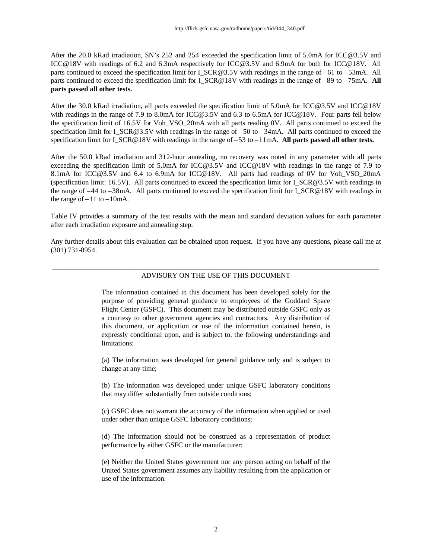After the 20.0 kRad irradiation, SN's 252 and 254 exceeded the specification limit of 5.0mA for ICC@3.5V and ICC@18V with readings of 6.2 and 6.3mA respectively for ICC@3.5V and 6.9mA for both for ICC@18V. All parts continued to exceed the specification limit for I\_SCR@3.5V with readings in the range of –61 to –53mA. All parts continued to exceed the specification limit for I\_SCR@18V with readings in the range of –89 to –75mA. **All parts passed all other tests.**

After the 30.0 kRad irradiation, all parts exceeded the specification limit of 5.0mA for ICC@3.5V and ICC@18V with readings in the range of 7.9 to 8.0mA for ICC@3.5V and 6.3 to 6.5mA for ICC@18V. Four parts fell below the specification limit of 16.5V for Voh\_VSO\_20mA with all parts reading 0V. All parts continued to exceed the specification limit for I\_SCR@3.5V with readings in the range of –50 to –34mA. All parts continued to exceed the specification limit for I\_SCR@18V with readings in the range of –53 to –11mA. **All parts passed all other tests.**

After the 50.0 kRad irradiation and 312-hour annealing, no recovery was noted in any parameter with all parts exceeding the specification limit of 5.0mA for ICC@3.5V and ICC@18V with readings in the range of 7.9 to 8.1mA for ICC@3.5V and 6.4 to 6.9mA for ICC@18V. All parts had readings of 0V for Voh\_VSO\_20mA (specification limit: 16.5V). All parts continued to exceed the specification limit for I\_SCR@3.5V with readings in the range of  $-44$  to  $-38$ mA. All parts continued to exceed the specification limit for I\_SCR@18V with readings in the range of  $-11$  to  $-10$ mA.

Table IV provides a summary of the test results with the mean and standard deviation values for each parameter after each irradiation exposure and annealing step.

Any further details about this evaluation can be obtained upon request. If you have any questions, please call me at (301) 731-8954.

#### \_\_\_\_\_\_\_\_\_\_\_\_\_\_\_\_\_\_\_\_\_\_\_\_\_\_\_\_\_\_\_\_\_\_\_\_\_\_\_\_\_\_\_\_\_\_\_\_\_\_\_\_\_\_\_\_\_\_\_\_\_\_\_\_\_\_\_\_\_\_\_\_\_\_\_\_\_\_\_\_\_\_\_\_\_\_\_\_\_\_\_\_ ADVISORY ON THE USE OF THIS DOCUMENT

The information contained in this document has been developed solely for the purpose of providing general guidance to employees of the Goddard Space Flight Center (GSFC). This document may be distributed outside GSFC only as a courtesy to other government agencies and contractors. Any distribution of this document, or application or use of the information contained herein, is expressly conditional upon, and is subject to, the following understandings and limitations:

(a) The information was developed for general guidance only and is subject to change at any time;

(b) The information was developed under unique GSFC laboratory conditions that may differ substantially from outside conditions;

(c) GSFC does not warrant the accuracy of the information when applied or used under other than unique GSFC laboratory conditions;

(d) The information should not be construed as a representation of product performance by either GSFC or the manufacturer;

(e) Neither the United States government nor any person acting on behalf of the United States government assumes any liability resulting from the application or use of the information.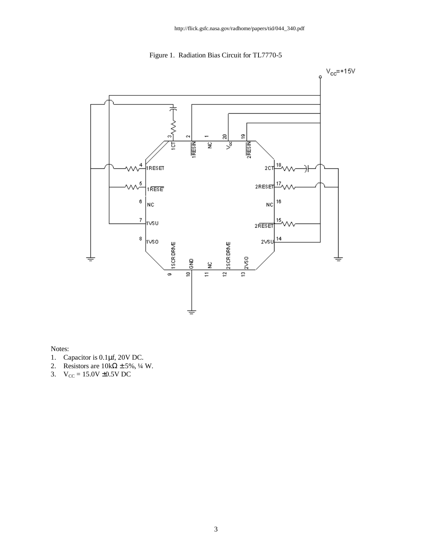Figure 1. Radiation Bias Circuit for TL7770-5



Notes:

- 1. Capacitor is 0.1μf, 20V DC.
- 2. Resistors are  $10k\Omega \pm 5\%$ , ¼ W.
- 3.  $V_{CC} = 15.0V \pm 0.5V DC$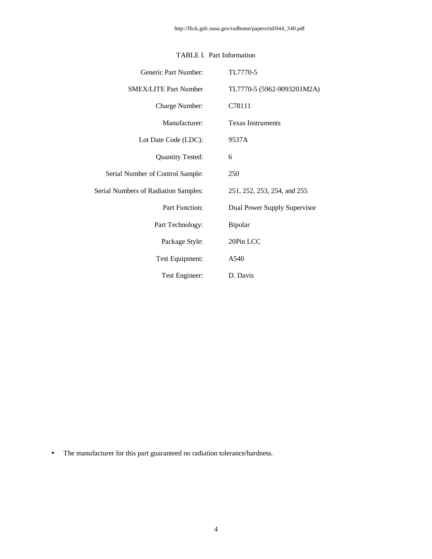| Generic Part Number:                        | TL7770-5                     |
|---------------------------------------------|------------------------------|
| <b>SMEX/LITE Part Number</b>                | TL7770-5 (5962-9093201M2A)   |
| Charge Number:                              | C78111                       |
| Manufacturer:                               | <b>Texas Instruments</b>     |
| Lot Date Code (LDC):                        | 9537A                        |
| <b>Quantity Tested:</b>                     | 6                            |
| Serial Number of Control Sample:            | 250                          |
| <b>Serial Numbers of Radiation Samples:</b> | 251, 252, 253, 254, and 255  |
| <b>Part Function:</b>                       | Dual Power Supply Supervisor |
| Part Technology:                            | Bipolar                      |
| Package Style:                              | 20Pin LCC                    |
| Test Equipment:                             | A540                         |
| Test Engineer:                              | D. Davis                     |

### TABLE I. Part Information

• The manufacturer for this part guaranteed no radiation tolerance/hardness.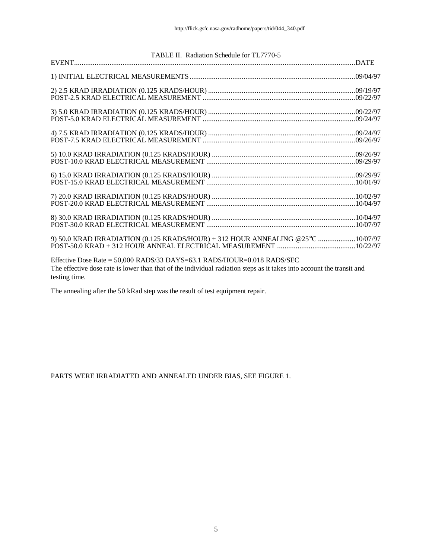| TABLE II. Radiation Schedule for TL7770-5                                                                             |  |
|-----------------------------------------------------------------------------------------------------------------------|--|
|                                                                                                                       |  |
|                                                                                                                       |  |
|                                                                                                                       |  |
|                                                                                                                       |  |
|                                                                                                                       |  |
|                                                                                                                       |  |
|                                                                                                                       |  |
|                                                                                                                       |  |
|                                                                                                                       |  |
|                                                                                                                       |  |
|                                                                                                                       |  |
|                                                                                                                       |  |
|                                                                                                                       |  |
|                                                                                                                       |  |
|                                                                                                                       |  |
|                                                                                                                       |  |
| 9) 50.0 KRAD IRRADIATION (0.125 KRADS/HOUR) + 312 HOUR ANNEALING @25°C 10/07/97                                       |  |
|                                                                                                                       |  |
| Effective Dose Rate = 50,000 RADS/33 DAYS=63.1 RADS/HOUR=0.018 RADS/SEC                                               |  |
| The effective dose rate is lower than that of the individual radiation steps as it takes into account the transit and |  |
| testing time.                                                                                                         |  |

The annealing after the 50 kRad step was the result of test equipment repair.

PARTS WERE IRRADIATED AND ANNEALED UNDER BIAS, SEE FIGURE 1.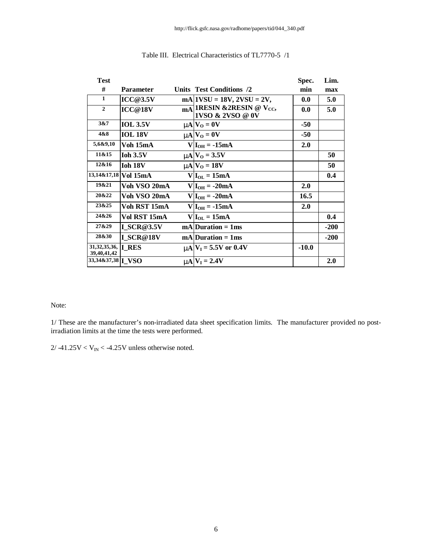| <b>Test</b>                                 |                      |                                                                               | Spec.   | Lim.   |
|---------------------------------------------|----------------------|-------------------------------------------------------------------------------|---------|--------|
| #                                           | <b>Parameter</b>     | Units Test Conditions /2                                                      | min     | max    |
| $\mathbf{1}$                                | <b>ICC@3.5V</b>      | $mA$   1VSU = 18V, 2VSU = 2V,                                                 | 0.0     | 5.0    |
| $\mathbf{2}$                                | ICC@18V              | $\overline{\text{mA}}$ 1RESIN &2RESIN @ V <sub>CC</sub> ,<br>1VSO & 2VSO @ 0V | 0.0     | 5.0    |
| 3&7                                         | <b>IOL 3.5V</b>      | $mN_V$ = 0V                                                                   | -50     |        |
| 4&8                                         | <b>IOL 18V</b>       | $mN_0 = 0V$                                                                   | -50     |        |
| 5,6&9,10                                    | Voh 15mA             | $V I_{OH} = -15mA$                                                            | 2.0     |        |
| 11&15                                       | <b>Ioh 3.5V</b>      | $mN_0 = 3.5V$                                                                 |         | 50     |
| 12&16                                       | Ioh 18V              | $mN_0 = 18V$                                                                  |         | 50     |
|                                             | 13,14&17,18 Vol 15mA | $V I_{OL} = 15mA$                                                             |         | 0.4    |
| 19&21                                       | Voh VSO 20mA         | $V I_{OH} = -20mA$                                                            | 2.0     |        |
| 20&22                                       | Voh VSO 20mA         | $V I_{OH} = -20mA$                                                            | 16.5    |        |
| 23&25                                       | Voh RST 15mA         | $V I_{OH} = -15mA$                                                            | 2.0     |        |
| 24&26                                       | Vol RST 15mA         | $V I_{OL} = 15mA$                                                             |         | 0.4    |
| 27&29                                       | <b>I SCR@3.5V</b>    | $mA Duration = 1ms$                                                           |         | $-200$ |
| 28&30                                       | I SCR@18V            | $mA$ Duration = 1ms                                                           |         | $-200$ |
| 31,32,35,36, <b>I RES</b><br>39, 40, 41, 42 |                      | $mN = 5.5V$ or 0.4V                                                           | $-10.0$ |        |
| 33,34&37,38   VSO                           |                      | $mA$ $V_I = 2.4V$                                                             |         | 2.0    |
|                                             |                      |                                                                               |         |        |

### Table III. Electrical Characteristics of TL7770-5 /1

#### Note:

1/ These are the manufacturer's non-irradiated data sheet specification limits. The manufacturer provided no postirradiation limits at the time the tests were performed.

 $2/ -41.25V < V_{IN} < -4.25V$  unless otherwise noted.